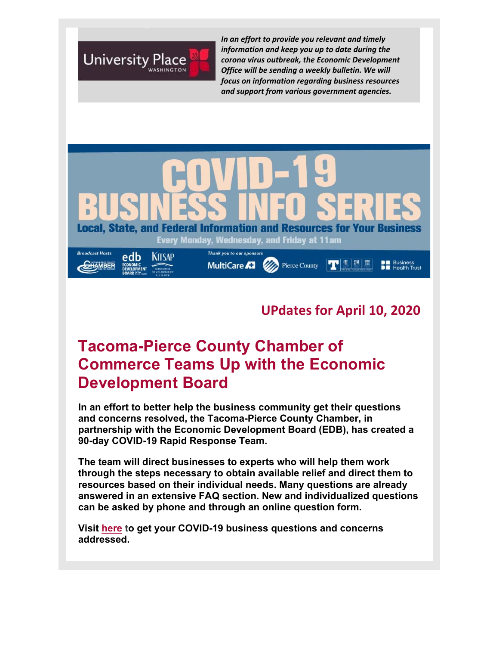

*In an effort to provide you relevant and timely information and keep you up to date during the corona virus outbreak, the Economic Development Office will be sending a weekly bulletin. We will focus on information regarding business resources and support from various government agencies.*



#### **UPdates for April 10, 2020**

# **Tacoma-Pierce County Chamber of Commerce Teams Up with the Economic Development Board**

**In an effort to better help the business community get their questions and concerns resolved, the Tacoma-Pierce County Chamber, in partnership with the Economic Development Board (EDB), has created a 90-day COVID-19 Rapid Response Team.** 

**The team will direct businesses to experts who will help them work through the steps necessary to obtain available relief and direct them to resources based on their individual needs. Many questions are already answered in an extensive FAQ section. New and individualized questions can be asked by phone and through an online question form.**

**Visit here to get your COVID-19 business questions and concerns addressed.**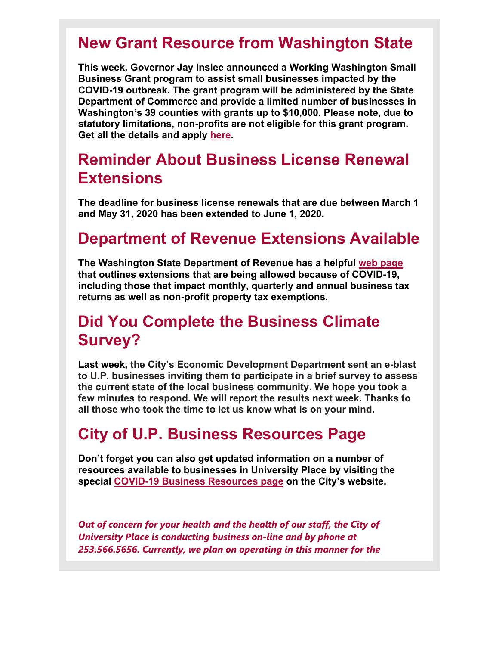# **New Grant Resource from Washington State**

**This week, Governor Jay Inslee announced a Working Washington Small Business Grant program to assist small businesses impacted by the COVID-19 outbreak. The grant program will be administered by the State Department of Commerce and provide a limited number of businesses in Washington's 39 counties with grants up to \$10,000. Please note, due to statutory limitations, non-profits are not eligible for this grant program. Get all the details and apply here.** 

### **Reminder About Business License Renewal Extensions**

**The deadline for business license renewals that are due between March 1 and May 31, 2020 has been extended to June 1, 2020.**

### **Department of Revenue Extensions Available**

**The Washington State Department of Revenue has a helpful web page that outlines extensions that are being allowed because of COVID-19, including those that impact monthly, quarterly and annual business tax returns as well as non-profit property tax exemptions.** 

### **Did You Complete the Business Climate Survey?**

**Last week, the City's Economic Development Department sent an e-blast to U.P. businesses inviting them to participate in a brief survey to assess the current state of the local business community. We hope you took a few minutes to respond. We will report the results next week. Thanks to all those who took the time to let us know what is on your mind.** 

# **City of U.P. Business Resources Page**

**Don't forget you can also get updated information on a number of resources available to businesses in University Place by visiting the special COVID-19 Business Resources page on the City's website.** 

*Out of concern for your health and the health of our staff, the City of University Place is conducting business on-line and by phone at 253.566.5656. Currently, we plan on operating in this manner for the*